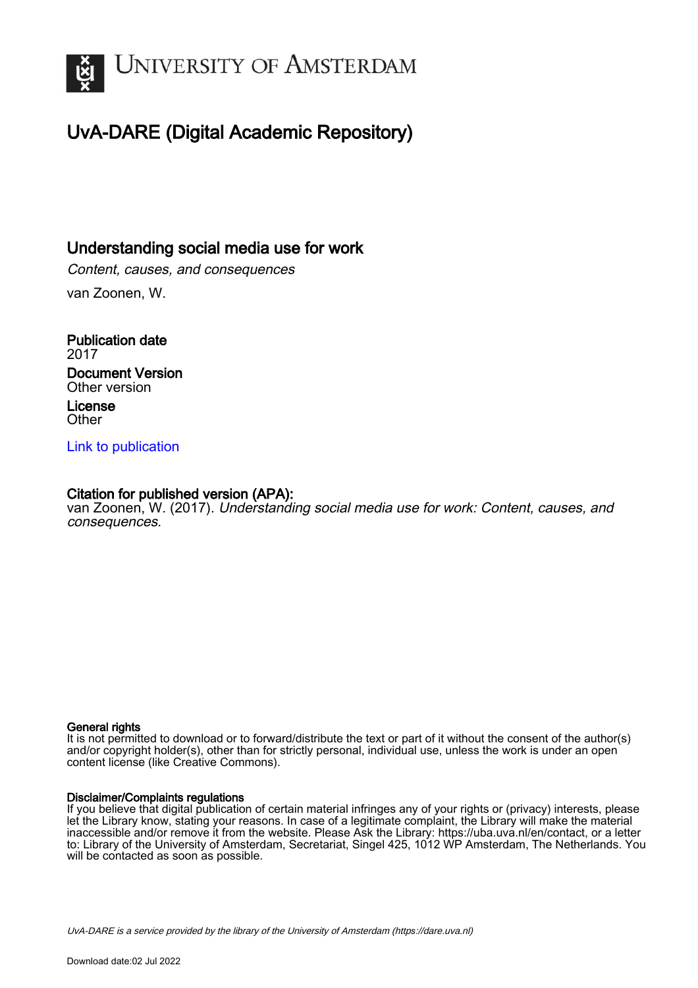

# UvA-DARE (Digital Academic Repository)

## Understanding social media use for work

Content, causes, and consequences van Zoonen, W.

Publication date 2017 Document Version Other version License **Other** 

## [Link to publication](https://dare.uva.nl/personal/pure/en/publications/understanding-social-media-use-for-work(0e1f6fbc-9ef5-4f2d-9800-a40c40353f4c).html)

## Citation for published version (APA):

van Zoonen, W. (2017). Understanding social media use for work: Content, causes, and consequences.

#### General rights

It is not permitted to download or to forward/distribute the text or part of it without the consent of the author(s) and/or copyright holder(s), other than for strictly personal, individual use, unless the work is under an open content license (like Creative Commons).

#### Disclaimer/Complaints regulations

If you believe that digital publication of certain material infringes any of your rights or (privacy) interests, please let the Library know, stating your reasons. In case of a legitimate complaint, the Library will make the material inaccessible and/or remove it from the website. Please Ask the Library: https://uba.uva.nl/en/contact, or a letter to: Library of the University of Amsterdam, Secretariat, Singel 425, 1012 WP Amsterdam, The Netherlands. You will be contacted as soon as possible.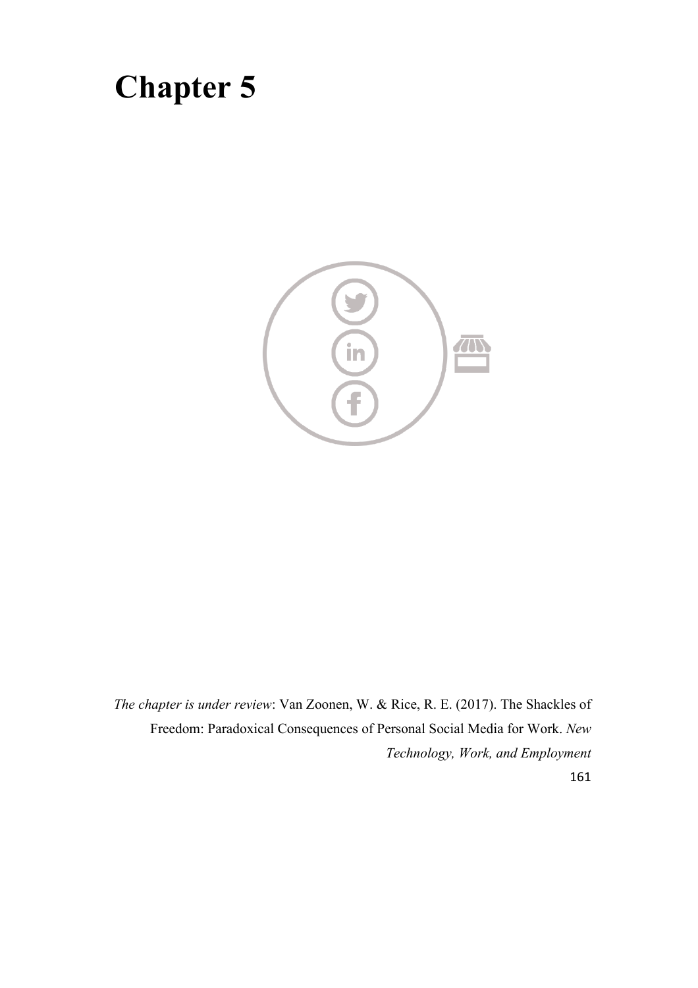# **Chapter 5**



*The chapter is under review*: Van Zoonen, W. & Rice, R. E. (2017). The Shackles of Freedom: Paradoxical Consequences of Personal Social Media for Work. *New Technology, Work, and Employment*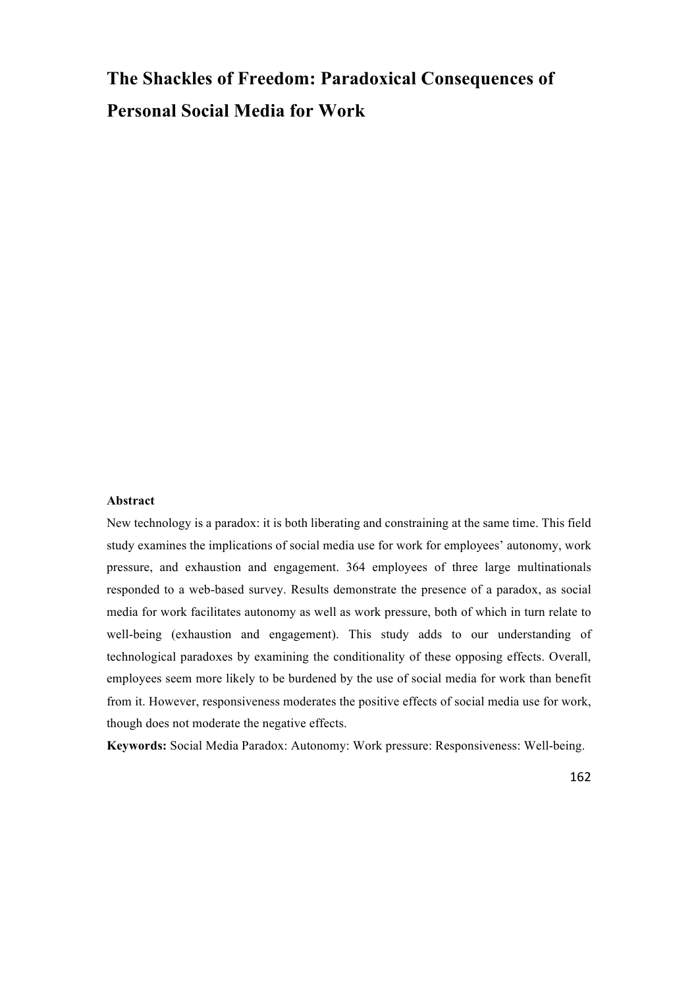# **The Shackles of Freedom: Paradoxical Consequences of Personal Social Media for Work**

#### **Abstract**

New technology is a paradox: it is both liberating and constraining at the same time. This field study examines the implications of social media use for work for employees' autonomy, work pressure, and exhaustion and engagement. 364 employees of three large multinationals responded to a web-based survey. Results demonstrate the presence of a paradox, as social media for work facilitates autonomy as well as work pressure, both of which in turn relate to well-being (exhaustion and engagement). This study adds to our understanding of technological paradoxes by examining the conditionality of these opposing effects. Overall, employees seem more likely to be burdened by the use of social media for work than benefit from it. However, responsiveness moderates the positive effects of social media use for work, though does not moderate the negative effects.

**Keywords:** Social Media Paradox: Autonomy: Work pressure: Responsiveness: Well-being.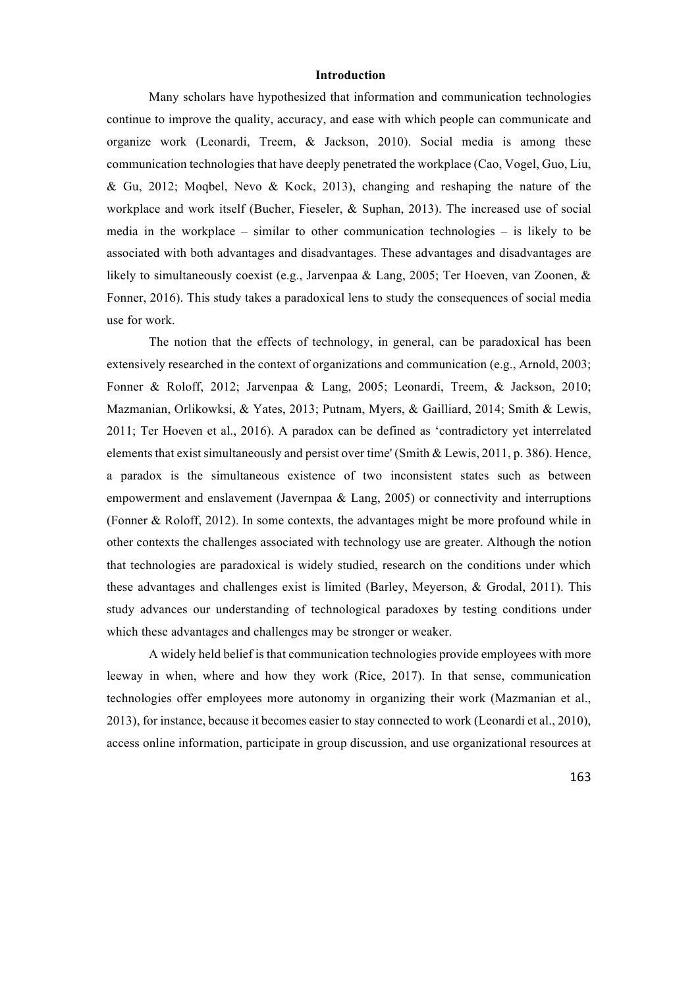#### **Introduction**

Many scholars have hypothesized that information and communication technologies continue to improve the quality, accuracy, and ease with which people can communicate and organize work (Leonardi, Treem, & Jackson, 2010). Social media is among these communication technologies that have deeply penetrated the workplace (Cao, Vogel, Guo, Liu, & Gu, 2012; Moqbel, Nevo & Kock, 2013), changing and reshaping the nature of the workplace and work itself (Bucher, Fieseler, & Suphan, 2013). The increased use of social media in the workplace – similar to other communication technologies – is likely to be associated with both advantages and disadvantages. These advantages and disadvantages are likely to simultaneously coexist (e.g., Jarvenpaa & Lang, 2005; Ter Hoeven, van Zoonen, & Fonner, 2016). This study takes a paradoxical lens to study the consequences of social media use for work.

The notion that the effects of technology, in general, can be paradoxical has been extensively researched in the context of organizations and communication (e.g., Arnold, 2003; Fonner & Roloff, 2012; Jarvenpaa & Lang, 2005; Leonardi, Treem, & Jackson, 2010; Mazmanian, Orlikowksi, & Yates, 2013; Putnam, Myers, & Gailliard, 2014; Smith & Lewis, 2011; Ter Hoeven et al., 2016). A paradox can be defined as 'contradictory yet interrelated elements that exist simultaneously and persist over time' (Smith & Lewis, 2011, p. 386). Hence, a paradox is the simultaneous existence of two inconsistent states such as between empowerment and enslavement (Javernpaa & Lang, 2005) or connectivity and interruptions (Fonner & Roloff, 2012). In some contexts, the advantages might be more profound while in other contexts the challenges associated with technology use are greater. Although the notion that technologies are paradoxical is widely studied, research on the conditions under which these advantages and challenges exist is limited (Barley, Meyerson, & Grodal, 2011). This study advances our understanding of technological paradoxes by testing conditions under which these advantages and challenges may be stronger or weaker.

A widely held belief is that communication technologies provide employees with more leeway in when, where and how they work (Rice, 2017). In that sense, communication technologies offer employees more autonomy in organizing their work (Mazmanian et al., 2013), for instance, because it becomes easier to stay connected to work (Leonardi et al., 2010), access online information, participate in group discussion, and use organizational resources at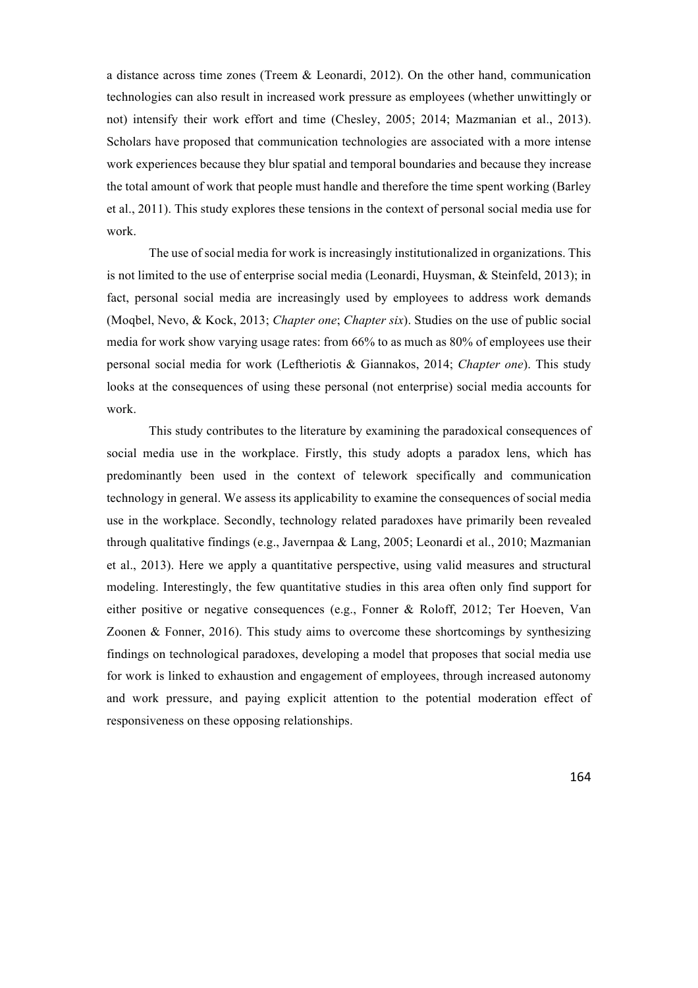a distance across time zones (Treem & Leonardi, 2012). On the other hand, communication technologies can also result in increased work pressure as employees (whether unwittingly or not) intensify their work effort and time (Chesley, 2005; 2014; Mazmanian et al., 2013). Scholars have proposed that communication technologies are associated with a more intense work experiences because they blur spatial and temporal boundaries and because they increase the total amount of work that people must handle and therefore the time spent working (Barley et al., 2011). This study explores these tensions in the context of personal social media use for work.

The use of social media for work is increasingly institutionalized in organizations. This is not limited to the use of enterprise social media (Leonardi, Huysman, & Steinfeld, 2013); in fact, personal social media are increasingly used by employees to address work demands (Moqbel, Nevo, & Kock, 2013; *Chapter one*; *Chapter six*). Studies on the use of public social media for work show varying usage rates: from 66% to as much as 80% of employees use their personal social media for work (Leftheriotis & Giannakos, 2014; *Chapter one*). This study looks at the consequences of using these personal (not enterprise) social media accounts for work.

This study contributes to the literature by examining the paradoxical consequences of social media use in the workplace. Firstly, this study adopts a paradox lens, which has predominantly been used in the context of telework specifically and communication technology in general. We assess its applicability to examine the consequences of social media use in the workplace. Secondly, technology related paradoxes have primarily been revealed through qualitative findings (e.g., Javernpaa & Lang, 2005; Leonardi et al., 2010; Mazmanian et al., 2013). Here we apply a quantitative perspective, using valid measures and structural modeling. Interestingly, the few quantitative studies in this area often only find support for either positive or negative consequences (e.g., Fonner & Roloff, 2012; Ter Hoeven, Van Zoonen & Fonner, 2016). This study aims to overcome these shortcomings by synthesizing findings on technological paradoxes, developing a model that proposes that social media use for work is linked to exhaustion and engagement of employees, through increased autonomy and work pressure, and paying explicit attention to the potential moderation effect of responsiveness on these opposing relationships.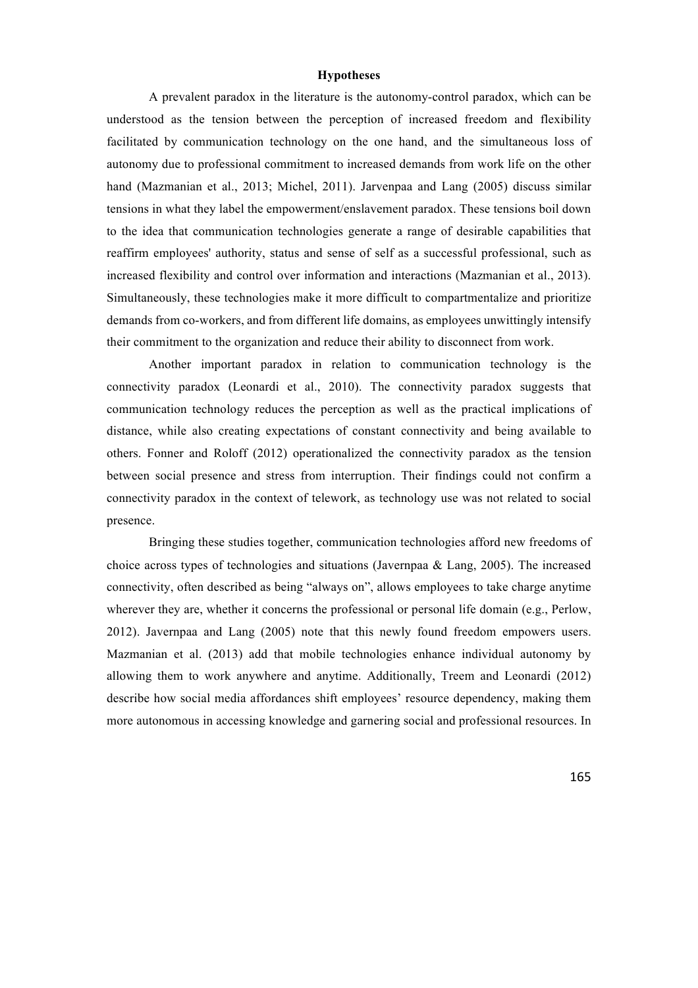#### **Hypotheses**

A prevalent paradox in the literature is the autonomy-control paradox, which can be understood as the tension between the perception of increased freedom and flexibility facilitated by communication technology on the one hand, and the simultaneous loss of autonomy due to professional commitment to increased demands from work life on the other hand (Mazmanian et al., 2013; Michel, 2011). Jarvenpaa and Lang (2005) discuss similar tensions in what they label the empowerment/enslavement paradox. These tensions boil down to the idea that communication technologies generate a range of desirable capabilities that reaffirm employees' authority, status and sense of self as a successful professional, such as increased flexibility and control over information and interactions (Mazmanian et al., 2013). Simultaneously, these technologies make it more difficult to compartmentalize and prioritize demands from co-workers, and from different life domains, as employees unwittingly intensify their commitment to the organization and reduce their ability to disconnect from work.

Another important paradox in relation to communication technology is the connectivity paradox (Leonardi et al., 2010). The connectivity paradox suggests that communication technology reduces the perception as well as the practical implications of distance, while also creating expectations of constant connectivity and being available to others. Fonner and Roloff (2012) operationalized the connectivity paradox as the tension between social presence and stress from interruption. Their findings could not confirm a connectivity paradox in the context of telework, as technology use was not related to social presence.

Bringing these studies together, communication technologies afford new freedoms of choice across types of technologies and situations (Javernpaa & Lang, 2005). The increased connectivity, often described as being "always on", allows employees to take charge anytime wherever they are, whether it concerns the professional or personal life domain (e.g., Perlow, 2012). Javernpaa and Lang (2005) note that this newly found freedom empowers users. Mazmanian et al. (2013) add that mobile technologies enhance individual autonomy by allowing them to work anywhere and anytime. Additionally, Treem and Leonardi (2012) describe how social media affordances shift employees' resource dependency, making them more autonomous in accessing knowledge and garnering social and professional resources. In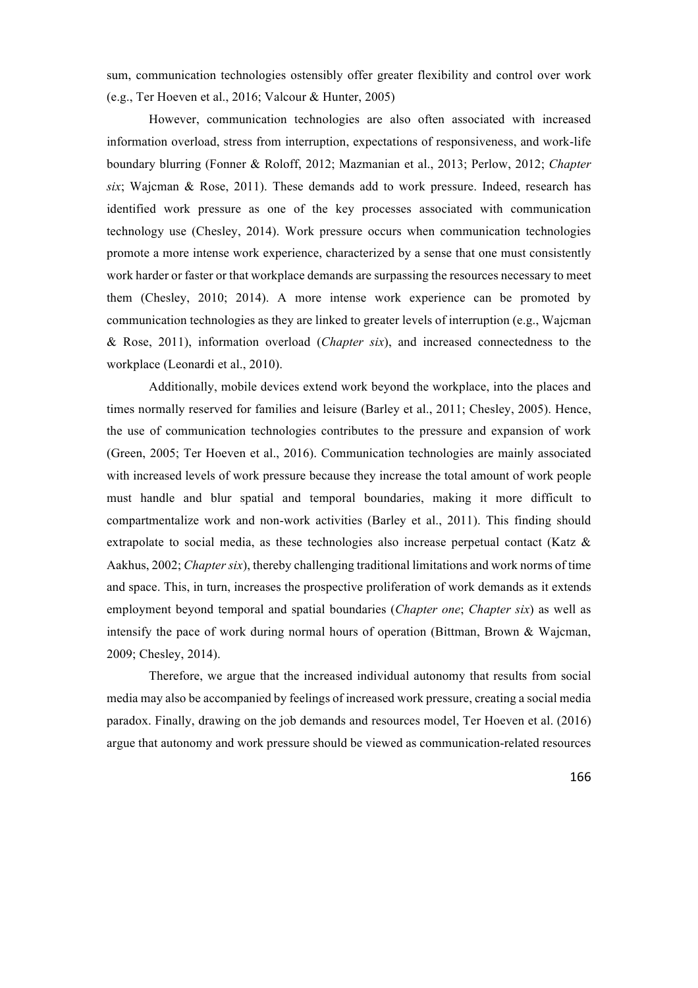sum, communication technologies ostensibly offer greater flexibility and control over work (e.g., Ter Hoeven et al., 2016; Valcour & Hunter, 2005)

However, communication technologies are also often associated with increased information overload, stress from interruption, expectations of responsiveness, and work-life boundary blurring (Fonner & Roloff, 2012; Mazmanian et al., 2013; Perlow, 2012; *Chapter six*; Wajcman & Rose, 2011). These demands add to work pressure. Indeed, research has identified work pressure as one of the key processes associated with communication technology use (Chesley, 2014). Work pressure occurs when communication technologies promote a more intense work experience, characterized by a sense that one must consistently work harder or faster or that workplace demands are surpassing the resources necessary to meet them (Chesley, 2010; 2014). A more intense work experience can be promoted by communication technologies as they are linked to greater levels of interruption (e.g., Wajcman & Rose, 2011), information overload (*Chapter six*), and increased connectedness to the workplace (Leonardi et al., 2010).

Additionally, mobile devices extend work beyond the workplace, into the places and times normally reserved for families and leisure (Barley et al., 2011; Chesley, 2005). Hence, the use of communication technologies contributes to the pressure and expansion of work (Green, 2005; Ter Hoeven et al., 2016). Communication technologies are mainly associated with increased levels of work pressure because they increase the total amount of work people must handle and blur spatial and temporal boundaries, making it more difficult to compartmentalize work and non-work activities (Barley et al., 2011). This finding should extrapolate to social media, as these technologies also increase perpetual contact (Katz & Aakhus, 2002; *Chapter six*), thereby challenging traditional limitations and work norms of time and space. This, in turn, increases the prospective proliferation of work demands as it extends employment beyond temporal and spatial boundaries (*Chapter one*; *Chapter six*) as well as intensify the pace of work during normal hours of operation (Bittman, Brown  $\&$  Wajcman, 2009; Chesley, 2014).

Therefore, we argue that the increased individual autonomy that results from social media may also be accompanied by feelings of increased work pressure, creating a social media paradox. Finally, drawing on the job demands and resources model, Ter Hoeven et al. (2016) argue that autonomy and work pressure should be viewed as communication-related resources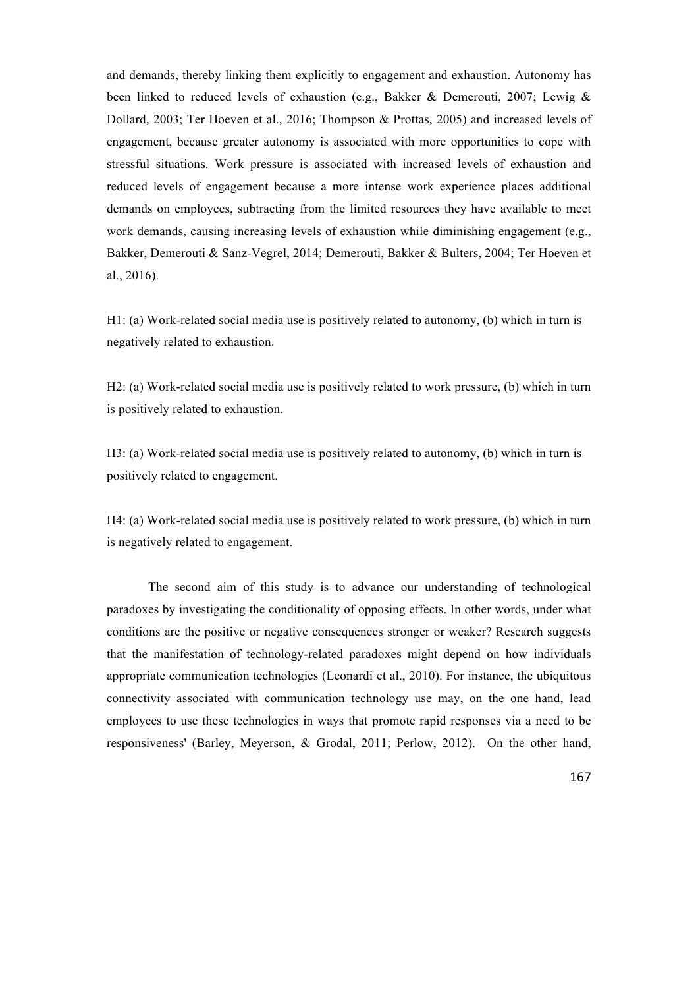and demands, thereby linking them explicitly to engagement and exhaustion. Autonomy has been linked to reduced levels of exhaustion (e.g., Bakker & Demerouti, 2007; Lewig & Dollard, 2003; Ter Hoeven et al., 2016; Thompson & Prottas, 2005) and increased levels of engagement, because greater autonomy is associated with more opportunities to cope with stressful situations. Work pressure is associated with increased levels of exhaustion and reduced levels of engagement because a more intense work experience places additional demands on employees, subtracting from the limited resources they have available to meet work demands, causing increasing levels of exhaustion while diminishing engagement (e.g., Bakker, Demerouti & Sanz-Vegrel, 2014; Demerouti, Bakker & Bulters, 2004; Ter Hoeven et al., 2016).

H1: (a) Work-related social media use is positively related to autonomy, (b) which in turn is negatively related to exhaustion.

H2: (a) Work-related social media use is positively related to work pressure, (b) which in turn is positively related to exhaustion.

H3: (a) Work-related social media use is positively related to autonomy, (b) which in turn is positively related to engagement.

H4: (a) Work-related social media use is positively related to work pressure, (b) which in turn is negatively related to engagement.

The second aim of this study is to advance our understanding of technological paradoxes by investigating the conditionality of opposing effects. In other words, under what conditions are the positive or negative consequences stronger or weaker? Research suggests that the manifestation of technology-related paradoxes might depend on how individuals appropriate communication technologies (Leonardi et al., 2010). For instance, the ubiquitous connectivity associated with communication technology use may, on the one hand, lead employees to use these technologies in ways that promote rapid responses via a need to be responsiveness' (Barley, Meyerson, & Grodal, 2011; Perlow, 2012). On the other hand,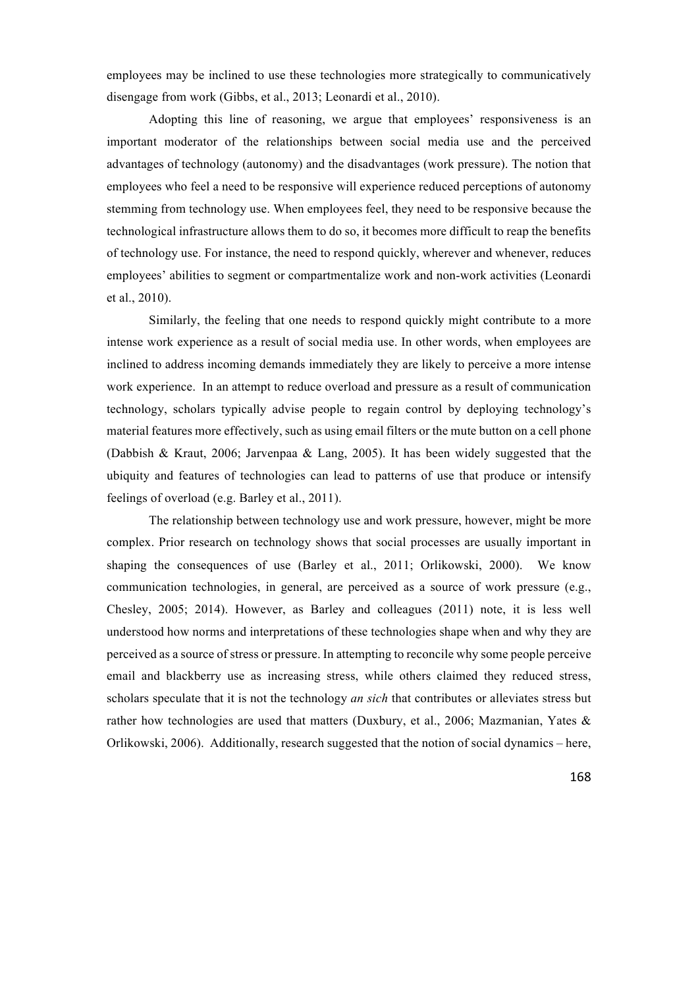employees may be inclined to use these technologies more strategically to communicatively disengage from work (Gibbs, et al., 2013; Leonardi et al., 2010).

Adopting this line of reasoning, we argue that employees' responsiveness is an important moderator of the relationships between social media use and the perceived advantages of technology (autonomy) and the disadvantages (work pressure). The notion that employees who feel a need to be responsive will experience reduced perceptions of autonomy stemming from technology use. When employees feel, they need to be responsive because the technological infrastructure allows them to do so, it becomes more difficult to reap the benefits of technology use. For instance, the need to respond quickly, wherever and whenever, reduces employees' abilities to segment or compartmentalize work and non-work activities (Leonardi et al., 2010).

Similarly, the feeling that one needs to respond quickly might contribute to a more intense work experience as a result of social media use. In other words, when employees are inclined to address incoming demands immediately they are likely to perceive a more intense work experience. In an attempt to reduce overload and pressure as a result of communication technology, scholars typically advise people to regain control by deploying technology's material features more effectively, such as using email filters or the mute button on a cell phone (Dabbish & Kraut, 2006; Jarvenpaa & Lang, 2005). It has been widely suggested that the ubiquity and features of technologies can lead to patterns of use that produce or intensify feelings of overload (e.g. Barley et al., 2011).

The relationship between technology use and work pressure, however, might be more complex. Prior research on technology shows that social processes are usually important in shaping the consequences of use (Barley et al., 2011; Orlikowski, 2000). We know communication technologies, in general, are perceived as a source of work pressure (e.g., Chesley, 2005; 2014). However, as Barley and colleagues (2011) note, it is less well understood how norms and interpretations of these technologies shape when and why they are perceived as a source of stress or pressure. In attempting to reconcile why some people perceive email and blackberry use as increasing stress, while others claimed they reduced stress, scholars speculate that it is not the technology *an sich* that contributes or alleviates stress but rather how technologies are used that matters (Duxbury, et al., 2006; Mazmanian, Yates & Orlikowski, 2006). Additionally, research suggested that the notion of social dynamics – here,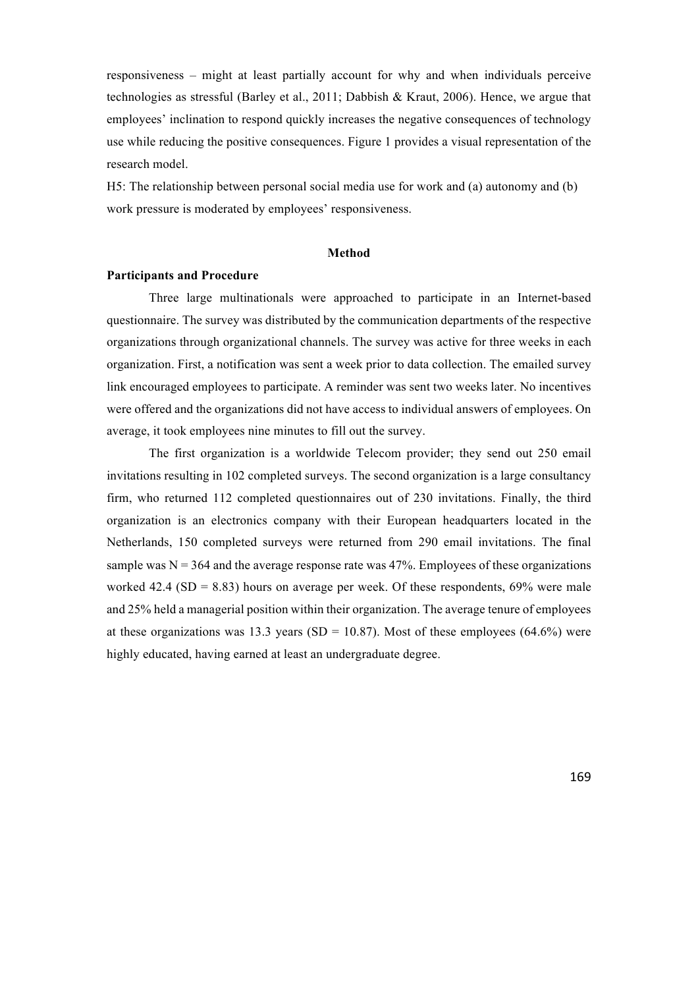responsiveness – might at least partially account for why and when individuals perceive technologies as stressful (Barley et al., 2011; Dabbish & Kraut, 2006). Hence, we argue that employees' inclination to respond quickly increases the negative consequences of technology use while reducing the positive consequences. Figure 1 provides a visual representation of the research model.

H5: The relationship between personal social media use for work and (a) autonomy and (b) work pressure is moderated by employees' responsiveness.

#### **Method**

#### **Participants and Procedure**

Three large multinationals were approached to participate in an Internet-based questionnaire. The survey was distributed by the communication departments of the respective organizations through organizational channels. The survey was active for three weeks in each organization. First, a notification was sent a week prior to data collection. The emailed survey link encouraged employees to participate. A reminder was sent two weeks later. No incentives were offered and the organizations did not have access to individual answers of employees. On average, it took employees nine minutes to fill out the survey.

The first organization is a worldwide Telecom provider; they send out 250 email invitations resulting in 102 completed surveys. The second organization is a large consultancy firm, who returned 112 completed questionnaires out of 230 invitations. Finally, the third organization is an electronics company with their European headquarters located in the Netherlands, 150 completed surveys were returned from 290 email invitations. The final sample was  $N = 364$  and the average response rate was 47%. Employees of these organizations worked 42.4 (SD =  $8.83$ ) hours on average per week. Of these respondents, 69% were male and 25% held a managerial position within their organization. The average tenure of employees at these organizations was 13.3 years (SD = 10.87). Most of these employees (64.6%) were highly educated, having earned at least an undergraduate degree.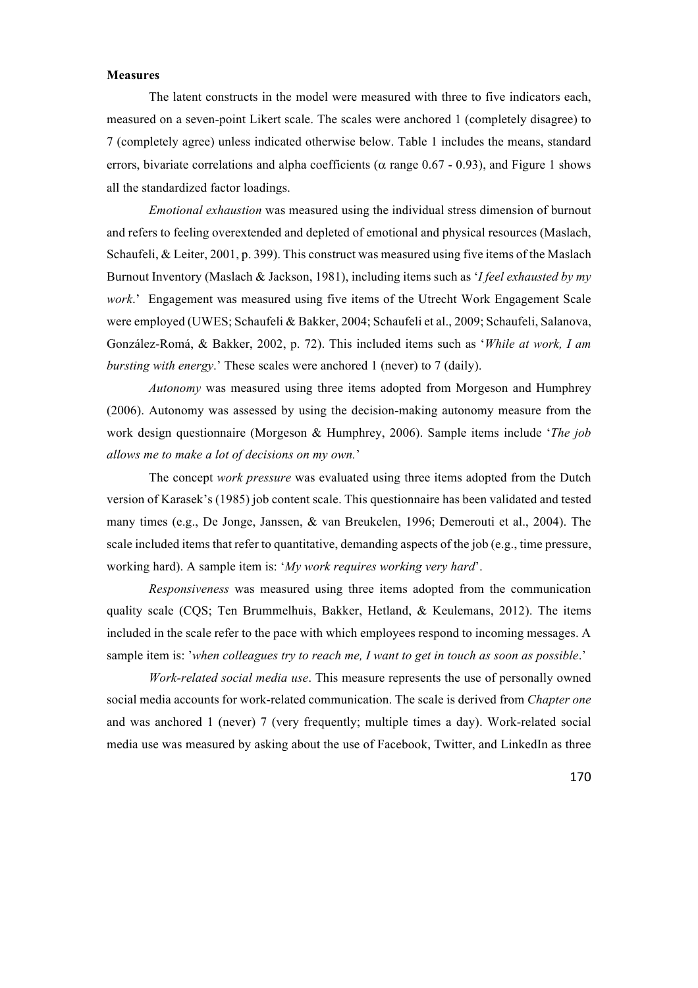#### **Measures**

The latent constructs in the model were measured with three to five indicators each, measured on a seven-point Likert scale. The scales were anchored 1 (completely disagree) to 7 (completely agree) unless indicated otherwise below. Table 1 includes the means, standard errors, bivariate correlations and alpha coefficients ( $\alpha$  range 0.67 - 0.93), and Figure 1 shows all the standardized factor loadings.

*Emotional exhaustion* was measured using the individual stress dimension of burnout and refers to feeling overextended and depleted of emotional and physical resources (Maslach, Schaufeli, & Leiter, 2001, p. 399). This construct was measured using five items of the Maslach Burnout Inventory (Maslach & Jackson, 1981), including items such as '*I feel exhausted by my work*.' Engagement was measured using five items of the Utrecht Work Engagement Scale were employed (UWES; Schaufeli & Bakker, 2004; Schaufeli et al., 2009; Schaufeli, Salanova, González-Romá, & Bakker, 2002, p. 72). This included items such as '*While at work, I am bursting with energy*.' These scales were anchored 1 (never) to 7 (daily).

*Autonomy* was measured using three items adopted from Morgeson and Humphrey (2006). Autonomy was assessed by using the decision-making autonomy measure from the work design questionnaire (Morgeson & Humphrey, 2006). Sample items include '*The job allows me to make a lot of decisions on my own.*'

The concept *work pressure* was evaluated using three items adopted from the Dutch version of Karasek's (1985) job content scale. This questionnaire has been validated and tested many times (e.g., De Jonge, Janssen, & van Breukelen, 1996; Demerouti et al., 2004). The scale included items that refer to quantitative, demanding aspects of the job (e.g., time pressure, working hard). A sample item is: '*My work requires working very hard*'.

*Responsiveness* was measured using three items adopted from the communication quality scale (CQS; Ten Brummelhuis, Bakker, Hetland, & Keulemans, 2012). The items included in the scale refer to the pace with which employees respond to incoming messages. A sample item is: '*when colleagues try to reach me, I want to get in touch as soon as possible*.'

*Work-related social media use*. This measure represents the use of personally owned social media accounts for work-related communication. The scale is derived from *Chapter one* and was anchored 1 (never) 7 (very frequently; multiple times a day). Work-related social media use was measured by asking about the use of Facebook, Twitter, and LinkedIn as three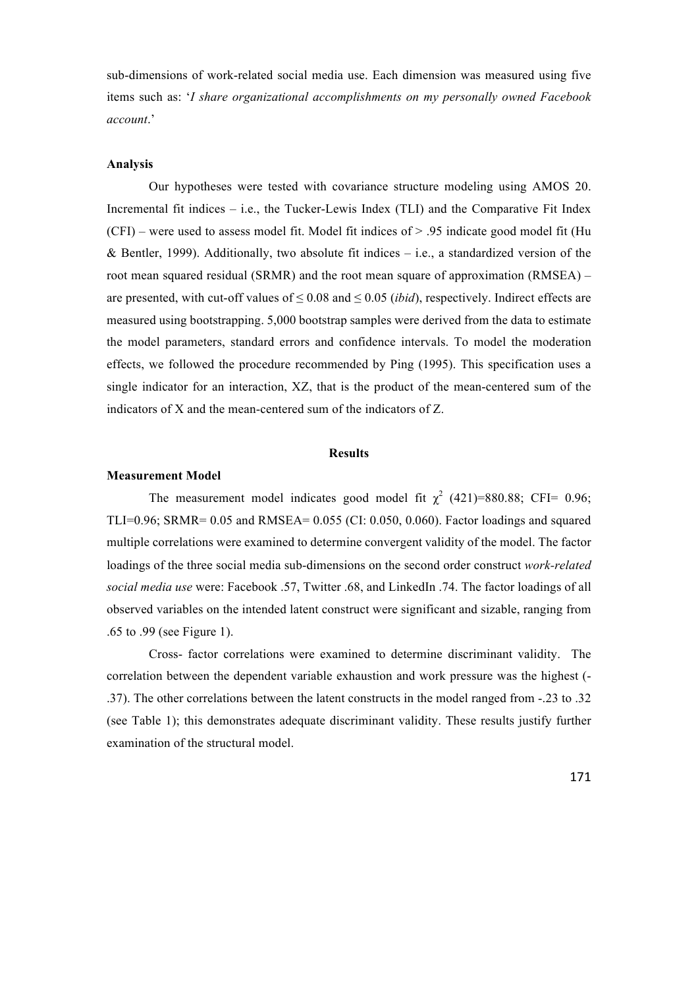sub-dimensions of work-related social media use. Each dimension was measured using five items such as: '*I share organizational accomplishments on my personally owned Facebook account*.'

#### **Analysis**

Our hypotheses were tested with covariance structure modeling using AMOS 20. Incremental fit indices – i.e., the Tucker-Lewis Index (TLI) and the Comparative Fit Index  $(CFI)$  – were used to assess model fit. Model fit indices of  $> 0.95$  indicate good model fit (Hu & Bentler, 1999). Additionally, two absolute fit indices  $-$  i.e., a standardized version of the root mean squared residual (SRMR) and the root mean square of approximation (RMSEA) – are presented, with cut-off values of  $\leq 0.08$  and  $\leq 0.05$  *(ibid)*, respectively. Indirect effects are measured using bootstrapping. 5,000 bootstrap samples were derived from the data to estimate the model parameters, standard errors and confidence intervals. To model the moderation effects, we followed the procedure recommended by Ping (1995). This specification uses a single indicator for an interaction, XZ, that is the product of the mean-centered sum of the indicators of X and the mean-centered sum of the indicators of Z.

#### **Results**

#### **Measurement Model**

The measurement model indicates good model fit  $\chi^2$  (421)=880.88; CFI= 0.96; TLI= $0.96$ ; SRMR=  $0.05$  and RMSEA=  $0.055$  (CI:  $0.050$ ,  $0.060$ ). Factor loadings and squared multiple correlations were examined to determine convergent validity of the model. The factor loadings of the three social media sub-dimensions on the second order construct *work-related social media use* were: Facebook .57, Twitter .68, and LinkedIn .74. The factor loadings of all observed variables on the intended latent construct were significant and sizable, ranging from .65 to .99 (see Figure 1).

Cross- factor correlations were examined to determine discriminant validity. The correlation between the dependent variable exhaustion and work pressure was the highest (- .37). The other correlations between the latent constructs in the model ranged from -.23 to .32 (see Table 1); this demonstrates adequate discriminant validity. These results justify further examination of the structural model.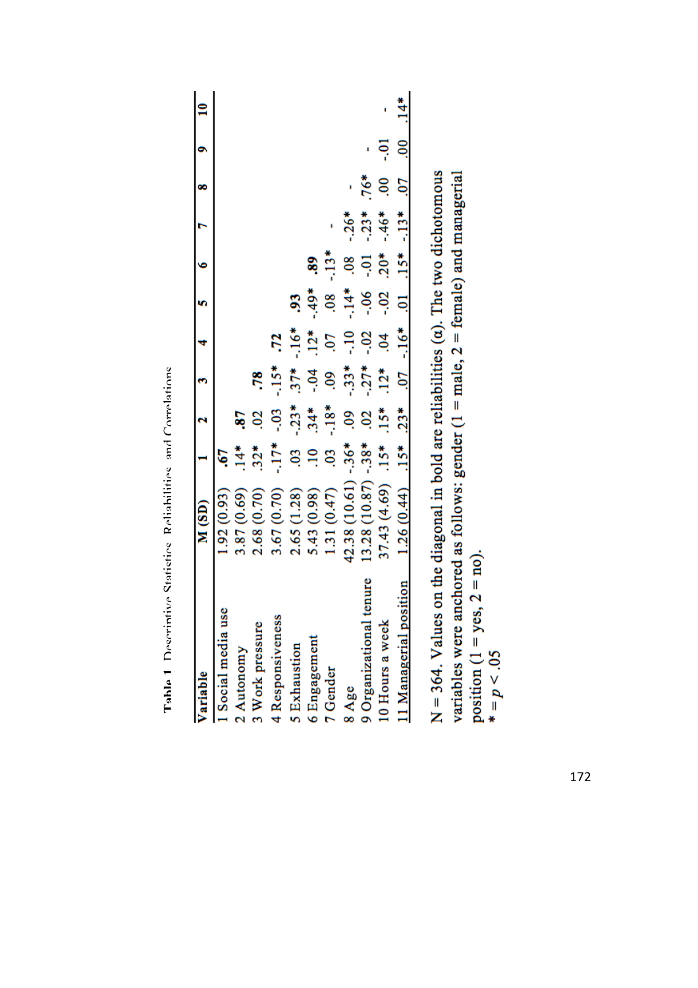| M (SD)        |                | $\overline{z}$                                                         | e)                                                                                    |                          | $\ddot{\phantom{0}}$                                                             | $\bullet$ | r                                                    | $\infty$       | ٩       | 10<br>10 |
|---------------|----------------|------------------------------------------------------------------------|---------------------------------------------------------------------------------------|--------------------------|----------------------------------------------------------------------------------|-----------|------------------------------------------------------|----------------|---------|----------|
| (.92(0.93)    |                |                                                                        |                                                                                       |                          |                                                                                  |           |                                                      |                |         |          |
| 3.87(0.69)    |                | .87                                                                    |                                                                                       |                          |                                                                                  |           |                                                      |                |         |          |
| 2.68(0.70)    | $32*$          | .02                                                                    | .78                                                                                   |                          |                                                                                  |           |                                                      |                |         |          |
| 3.67(0.70)    |                | $-0.3$                                                                 |                                                                                       | $\overline{z}$           |                                                                                  |           |                                                      |                |         |          |
| 2.65(1.28)    |                |                                                                        |                                                                                       |                          | 59                                                                               |           |                                                      |                |         |          |
| 5.43 (0.98)   |                |                                                                        |                                                                                       |                          |                                                                                  | ŝ.        |                                                      |                |         |          |
| 1.31 (0.47)   | $\overline{0}$ |                                                                        |                                                                                       |                          |                                                                                  | $-13*$    |                                                      |                |         |          |
| 42.38 (10.61) |                |                                                                        | $-33*$                                                                                |                          |                                                                                  |           | $-26*$                                               |                |         |          |
| 13.28 (10.87) |                |                                                                        |                                                                                       |                          |                                                                                  |           | $-23*$                                               | $.76*$         |         |          |
| 37.43 (4.69)  |                |                                                                        | $12*$                                                                                 | $\overline{0}$           | $-0.2$                                                                           |           | $-46*$                                               | $\overline{0}$ | $-0.01$ |          |
|               |                | $.23*$                                                                 | 50.                                                                                   | $-16*$                   | ē                                                                                | $.15*$    | $-13*$                                               | 50             |         | $14*$    |
|               |                |                                                                        |                                                                                       |                          |                                                                                  |           |                                                      |                |         |          |
|               |                | $-38*$<br>$-36*$<br>$1.26(0.44)$ .15*<br>$.15*$<br>$\ddot{4}$<br>03.10 | $\frac{3}{1}$ $\frac{4}{3}$ $\frac{4}{9}$ $\frac{8}{1}$ $\frac{8}{9}$<br>02<br>$-17*$ | $37*$<br>$60*$<br>$.15*$ | $\ddot{\phantom{a}}$<br>$\frac{16*}{12*}$<br>5.2<br>$-0.02$<br>$-.27*$<br>$-15*$ | $-0.6$    | $\frac{8}{10}$<br>$\frac{1}{20}$<br>$-14*$<br>$-49*$ |                |         |          |

| ֖֧֧֧֧֪֪֪֪֪֪֪֪֪֪֪֪֪֪֪֪֪֪֪֪֪֪֪֪֪֪֪֪֪֪֚֚֚֚֚֚֚֚֚֚֚֚֚֚֚֚֚֚֚֡֝֝֝֝֬֝֓֝֬֝֓֝ |
|---------------------------------------------------------------------|
| .<br>ماد                                                            |
| י<br>י                                                              |
|                                                                     |
|                                                                     |
|                                                                     |
|                                                                     |

 $N = 364$ . Values on the diagonal in bold are reliabilities  $(\alpha)$ . The two dichotomous variables were anchored as follows: gender ( $1 = male$ ,  $2 = female$ ) and managerial position (1 = yes, 2 = no).<br>\* =  $p < .05$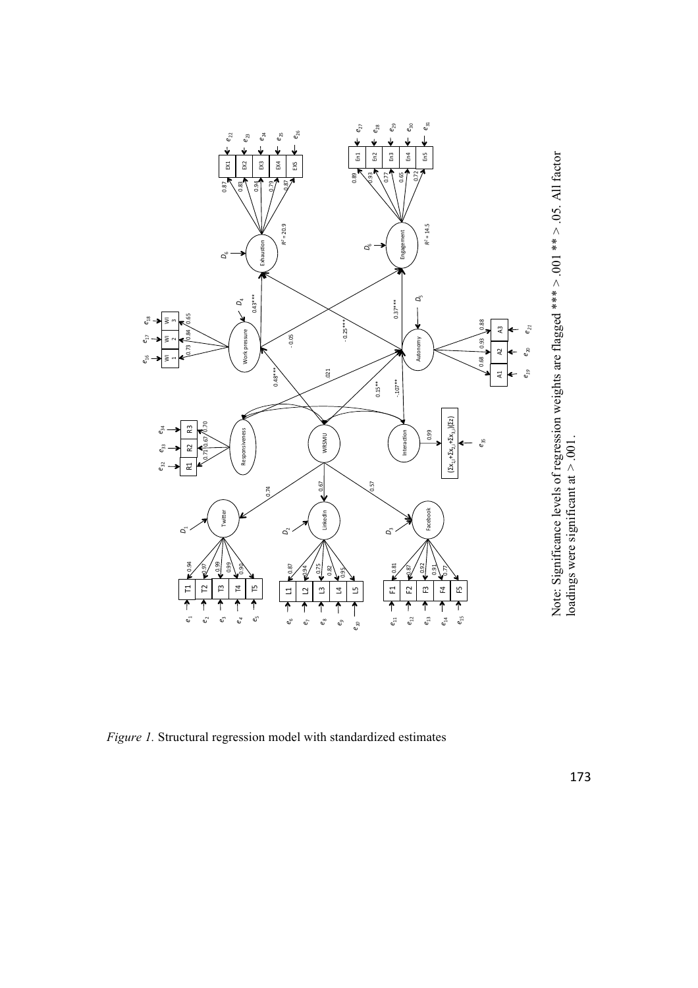

Note: Significance levels of regression weights are flagged \*\*\*  $> 0.001$  \*\*  $> 0.05$ . All factor loadings were significant at  $> 0.01$ . Note: Significance levels of regression weights are flagged \*\*\*  $> .05$ . All factor loadings were significant at  $> 0.01$ .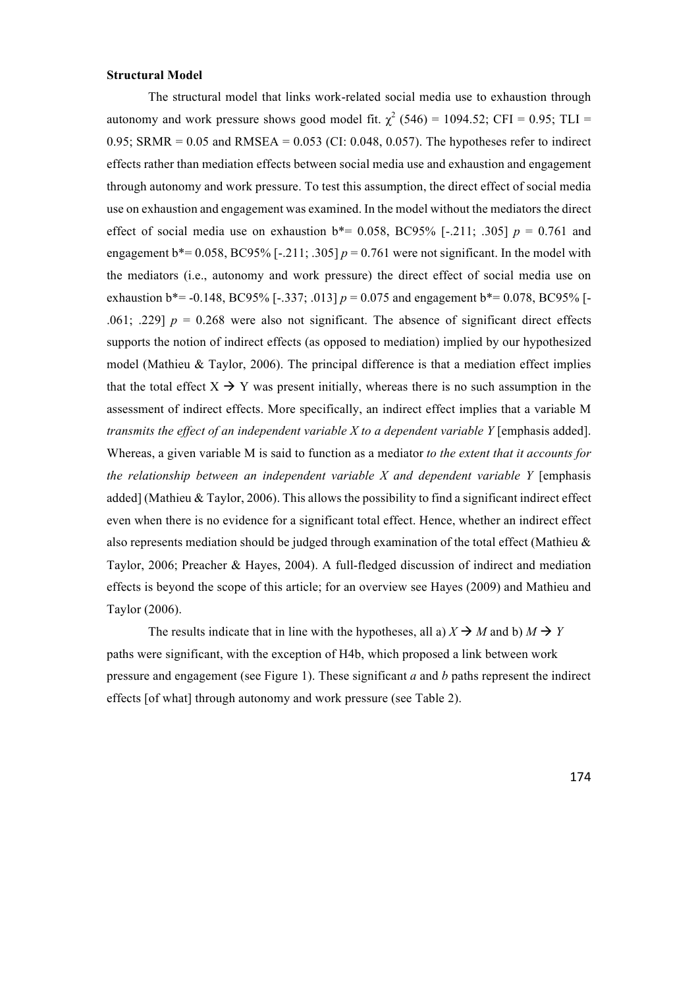#### **Structural Model**

The structural model that links work-related social media use to exhaustion through autonomy and work pressure shows good model fit.  $\chi^2$  (546) = 1094.52; CFI = 0.95; TLI = 0.95; SRMR =  $0.05$  and RMSEA =  $0.053$  (CI: 0.048, 0.057). The hypotheses refer to indirect effects rather than mediation effects between social media use and exhaustion and engagement through autonomy and work pressure. To test this assumption, the direct effect of social media use on exhaustion and engagement was examined. In the model without the mediators the direct effect of social media use on exhaustion  $b^* = 0.058$ , BC95% [-.211; .305]  $p = 0.761$  and engagement  $b^*$  = 0.058, BC95% [-.211; .305]  $p = 0.761$  were not significant. In the model with the mediators (i.e., autonomy and work pressure) the direct effect of social media use on exhaustion  $b^*$  = -0.148, BC95% [-.337; .013]  $p = 0.075$  and engagement  $b^*$  = 0.078, BC95% [-.061; .229]  $p = 0.268$  were also not significant. The absence of significant direct effects supports the notion of indirect effects (as opposed to mediation) implied by our hypothesized model (Mathieu & Taylor, 2006). The principal difference is that a mediation effect implies that the total effect  $X \rightarrow Y$  was present initially, whereas there is no such assumption in the assessment of indirect effects. More specifically, an indirect effect implies that a variable M *transmits the effect of an independent variable X to a dependent variable Y* [emphasis added]. Whereas, a given variable M is said to function as a mediator *to the extent that it accounts for the relationship between an independent variable X and dependent variable Y* [emphasis added] (Mathieu & Taylor, 2006). This allows the possibility to find a significant indirect effect even when there is no evidence for a significant total effect. Hence, whether an indirect effect also represents mediation should be judged through examination of the total effect (Mathieu  $\&$ Taylor, 2006; Preacher & Hayes, 2004). A full-fledged discussion of indirect and mediation effects is beyond the scope of this article; for an overview see Hayes (2009) and Mathieu and Taylor (2006).

The results indicate that in line with the hypotheses, all a)  $X \rightarrow M$  and b)  $M \rightarrow Y$ paths were significant, with the exception of H4b, which proposed a link between work pressure and engagement (see Figure 1). These significant *a* and *b* paths represent the indirect effects [of what] through autonomy and work pressure (see Table 2).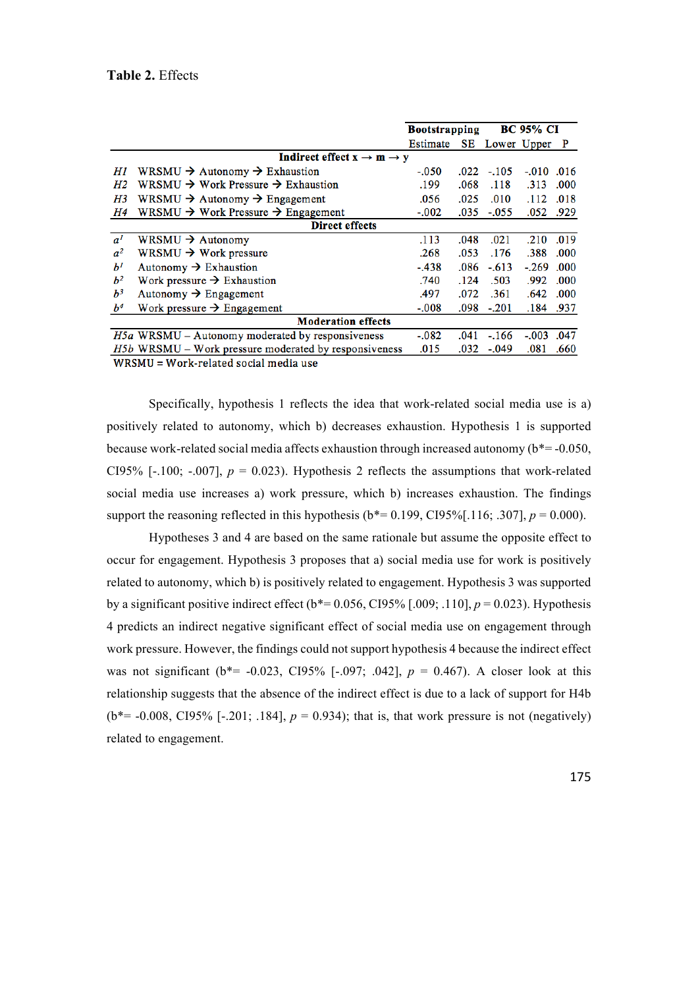|                |                                                            | <b>Bootstrapping</b> |      | <b>BC 95% CI</b> |              |      |  |  |  |
|----------------|------------------------------------------------------------|----------------------|------|------------------|--------------|------|--|--|--|
|                |                                                            | Estimate             |      | SE Lower Upper P |              |      |  |  |  |
|                | Indirect effect $x \rightarrow m \rightarrow y$            |                      |      |                  |              |      |  |  |  |
| Hl             | WRSMU $\rightarrow$ Autonomy $\rightarrow$ Exhaustion      | -.050                | .022 | $-.105$          | $-.010$ .016 |      |  |  |  |
| H2             | WRSMU $\rightarrow$ Work Pressure $\rightarrow$ Exhaustion | .199                 | .068 | .118             | .313         | .000 |  |  |  |
| H3             | WRSMU $\rightarrow$ Autonomy $\rightarrow$ Engagement      | .056                 | .025 | .010             | .112         | .018 |  |  |  |
| H4             | WRSMU $\rightarrow$ Work Pressure $\rightarrow$ Engagement | $-.002$              | .035 | $-.055$          | .052         | .929 |  |  |  |
|                | <b>Direct effects</b>                                      |                      |      |                  |              |      |  |  |  |
| a <sup>1</sup> | WRSMU $\rightarrow$ Autonomy                               | .113                 | .048 | .021             | .210         | .019 |  |  |  |
| a <sup>2</sup> | WRSMU $\rightarrow$ Work pressure                          | .268                 | .053 | .176             | .388         | .000 |  |  |  |
| $b^I$          | Autonomy $\rightarrow$ Exhaustion                          | $-.438$              | .086 | $-.613$          | $-.269$      | .000 |  |  |  |
| $b^2$          | Work pressure $\rightarrow$ Exhaustion                     | .740                 | .124 | .503             | .992         | .000 |  |  |  |
| $b^3$          | Autonomy $\rightarrow$ Engagement                          | .497                 | .072 | .361             | .642         | .000 |  |  |  |
| $b^4$          | Work pressure $\rightarrow$ Engagement                     | $-.008$              | .098 | $-.201$          | .184         | .937 |  |  |  |
|                | <b>Moderation effects</b>                                  |                      |      |                  |              |      |  |  |  |
|                | $H5a$ WRSMU – Autonomy moderated by responsiveness         | -.082                | .041 | $-.166$          | $-.003$      | .047 |  |  |  |
|                | $H5b$ WRSMU – Work pressure moderated by responsiveness    | .015                 | .032 | $-.049$          | .081         | .660 |  |  |  |
|                | $MIDCNII = MI_{\text{sub}}$ is related as $di$ modio inco- |                      |      |                  |              |      |  |  |  |

WRSMU = Work-related social media use

Specifically, hypothesis 1 reflects the idea that work-related social media use is a) positively related to autonomy, which b) decreases exhaustion. Hypothesis 1 is supported because work-related social media affects exhaustion through increased autonomy ( $b^*$  = -0.050, CI95% [ $-100$ ;  $-0.007$ ],  $p = 0.023$ ). Hypothesis 2 reflects the assumptions that work-related social media use increases a) work pressure, which b) increases exhaustion. The findings support the reasoning reflected in this hypothesis ( $b^*$  = 0.199, CI95%[.116; .307],  $p = 0.000$ ).

Hypotheses 3 and 4 are based on the same rationale but assume the opposite effect to occur for engagement. Hypothesis 3 proposes that a) social media use for work is positively related to autonomy, which b) is positively related to engagement. Hypothesis 3 was supported by a significant positive indirect effect ( $b^*$  = 0.056, CI95% [.009; .110],  $p$  = 0.023). Hypothesis 4 predicts an indirect negative significant effect of social media use on engagement through work pressure. However, the findings could not support hypothesis 4 because the indirect effect was not significant ( $b^*$ = -0.023, CI95% [-.097; .042],  $p = 0.467$ ). A closer look at this relationship suggests that the absence of the indirect effect is due to a lack of support for H4b ( $b^*$  = -0.008, CI95% [-.201; .184],  $p = 0.934$ ); that is, that work pressure is not (negatively) related to engagement.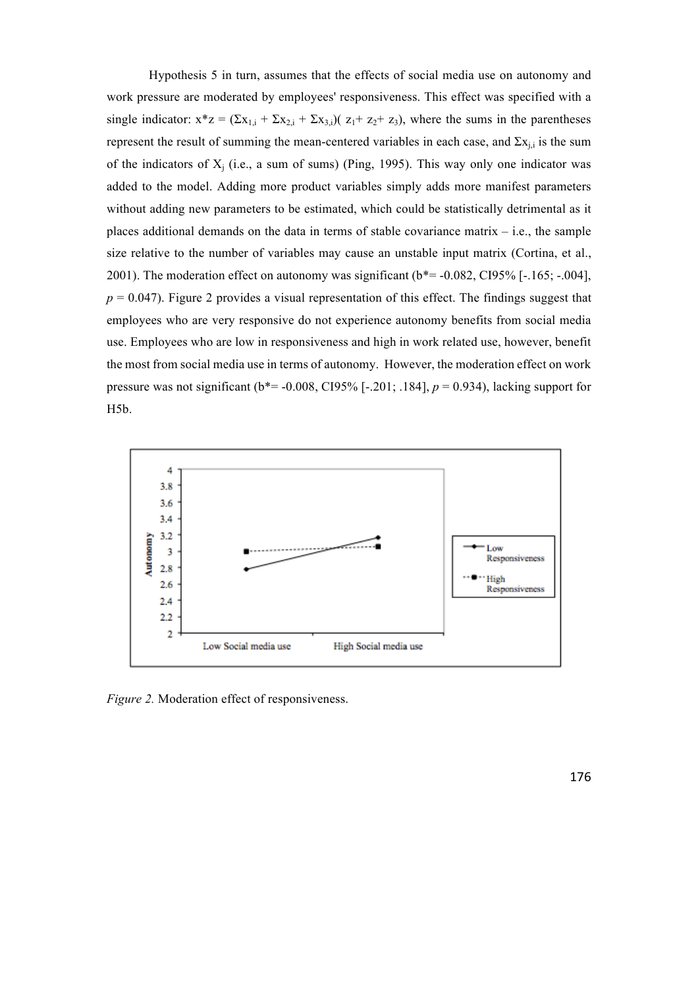Hypothesis 5 in turn, assumes that the effects of social media use on autonomy and work pressure are moderated by employees' responsiveness. This effect was specified with a single indicator:  $x^*z = (\sum x_{1i} + \sum x_{2i} + \sum x_{3i})(z_1 + z_2 + z_3)$ , where the sums in the parentheses represent the result of summing the mean-centered variables in each case, and  $\Sigma x_{i,i}$  is the sum of the indicators of  $X_i$  (i.e., a sum of sums) (Ping, 1995). This way only one indicator was added to the model. Adding more product variables simply adds more manifest parameters without adding new parameters to be estimated, which could be statistically detrimental as it places additional demands on the data in terms of stable covariance matrix – i.e., the sample size relative to the number of variables may cause an unstable input matrix (Cortina, et al., 2001). The moderation effect on autonomy was significant  $(b^* = -0.082, C195\%$  [ $-.165; -.004$ ],  $p = 0.047$ ). Figure 2 provides a visual representation of this effect. The findings suggest that employees who are very responsive do not experience autonomy benefits from social media use. Employees who are low in responsiveness and high in work related use, however, benefit the most from social media use in terms of autonomy. However, the moderation effect on work pressure was not significant ( $b^*$  = -0.008, CI95% [-.201; .184],  $p = 0.934$ ), lacking support for H5b.



*Figure 2.* Moderation effect of responsiveness.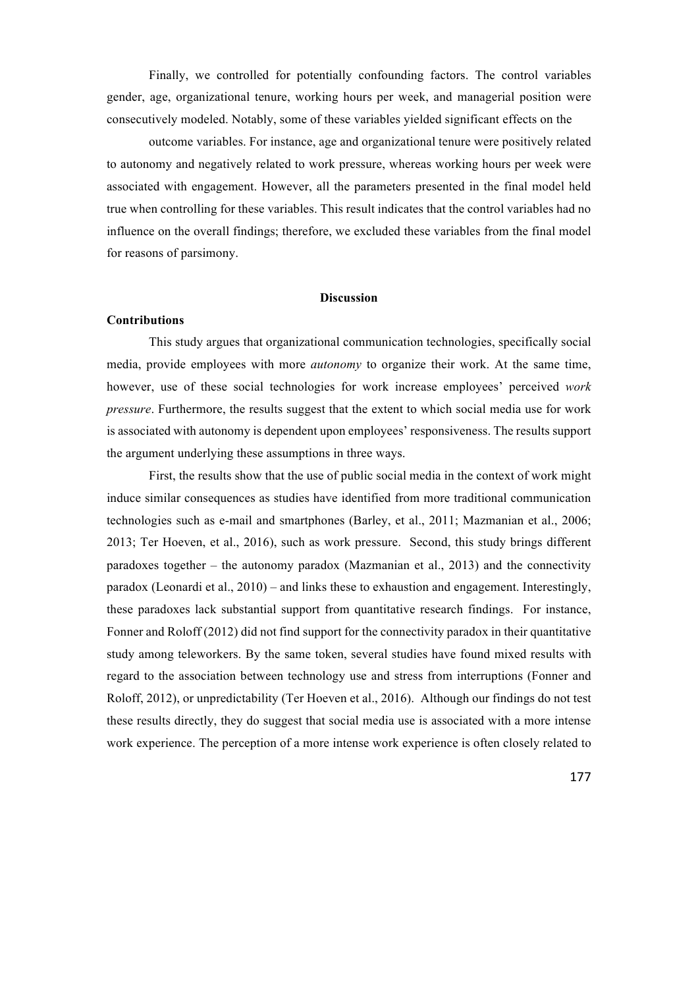Finally, we controlled for potentially confounding factors. The control variables gender, age, organizational tenure, working hours per week, and managerial position were consecutively modeled. Notably, some of these variables yielded significant effects on the

outcome variables. For instance, age and organizational tenure were positively related to autonomy and negatively related to work pressure, whereas working hours per week were associated with engagement. However, all the parameters presented in the final model held true when controlling for these variables. This result indicates that the control variables had no influence on the overall findings; therefore, we excluded these variables from the final model for reasons of parsimony.

#### **Discussion**

#### **Contributions**

This study argues that organizational communication technologies, specifically social media, provide employees with more *autonomy* to organize their work. At the same time, however, use of these social technologies for work increase employees' perceived *work pressure*. Furthermore, the results suggest that the extent to which social media use for work is associated with autonomy is dependent upon employees' responsiveness. The results support the argument underlying these assumptions in three ways.

First, the results show that the use of public social media in the context of work might induce similar consequences as studies have identified from more traditional communication technologies such as e-mail and smartphones (Barley, et al., 2011; Mazmanian et al., 2006; 2013; Ter Hoeven, et al., 2016), such as work pressure. Second, this study brings different paradoxes together – the autonomy paradox (Mazmanian et al., 2013) and the connectivity paradox (Leonardi et al., 2010) – and links these to exhaustion and engagement. Interestingly, these paradoxes lack substantial support from quantitative research findings. For instance, Fonner and Roloff (2012) did not find support for the connectivity paradox in their quantitative study among teleworkers. By the same token, several studies have found mixed results with regard to the association between technology use and stress from interruptions (Fonner and Roloff, 2012), or unpredictability (Ter Hoeven et al., 2016). Although our findings do not test these results directly, they do suggest that social media use is associated with a more intense work experience. The perception of a more intense work experience is often closely related to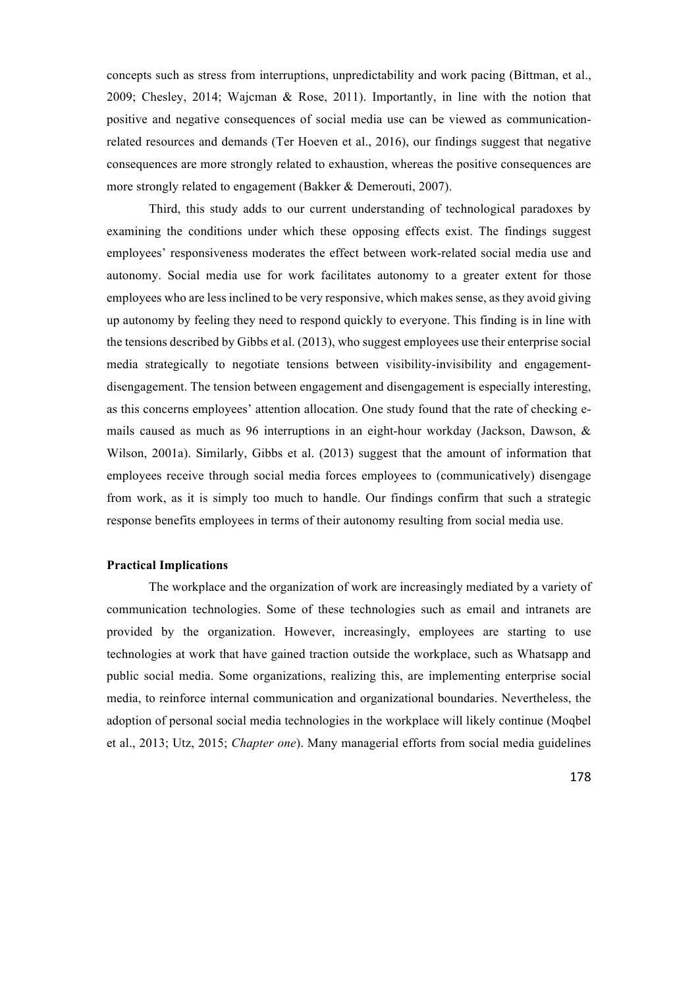concepts such as stress from interruptions, unpredictability and work pacing (Bittman, et al., 2009; Chesley, 2014; Wajcman & Rose, 2011). Importantly, in line with the notion that positive and negative consequences of social media use can be viewed as communicationrelated resources and demands (Ter Hoeven et al., 2016), our findings suggest that negative consequences are more strongly related to exhaustion, whereas the positive consequences are more strongly related to engagement (Bakker & Demerouti, 2007).

Third, this study adds to our current understanding of technological paradoxes by examining the conditions under which these opposing effects exist. The findings suggest employees' responsiveness moderates the effect between work-related social media use and autonomy. Social media use for work facilitates autonomy to a greater extent for those employees who are less inclined to be very responsive, which makes sense, as they avoid giving up autonomy by feeling they need to respond quickly to everyone. This finding is in line with the tensions described by Gibbs et al. (2013), who suggest employees use their enterprise social media strategically to negotiate tensions between visibility-invisibility and engagementdisengagement. The tension between engagement and disengagement is especially interesting, as this concerns employees' attention allocation. One study found that the rate of checking emails caused as much as 96 interruptions in an eight-hour workday (Jackson, Dawson, & Wilson, 2001a). Similarly, Gibbs et al. (2013) suggest that the amount of information that employees receive through social media forces employees to (communicatively) disengage from work, as it is simply too much to handle. Our findings confirm that such a strategic response benefits employees in terms of their autonomy resulting from social media use.

#### **Practical Implications**

The workplace and the organization of work are increasingly mediated by a variety of communication technologies. Some of these technologies such as email and intranets are provided by the organization. However, increasingly, employees are starting to use technologies at work that have gained traction outside the workplace, such as Whatsapp and public social media. Some organizations, realizing this, are implementing enterprise social media, to reinforce internal communication and organizational boundaries. Nevertheless, the adoption of personal social media technologies in the workplace will likely continue (Moqbel et al., 2013; Utz, 2015; *Chapter one*). Many managerial efforts from social media guidelines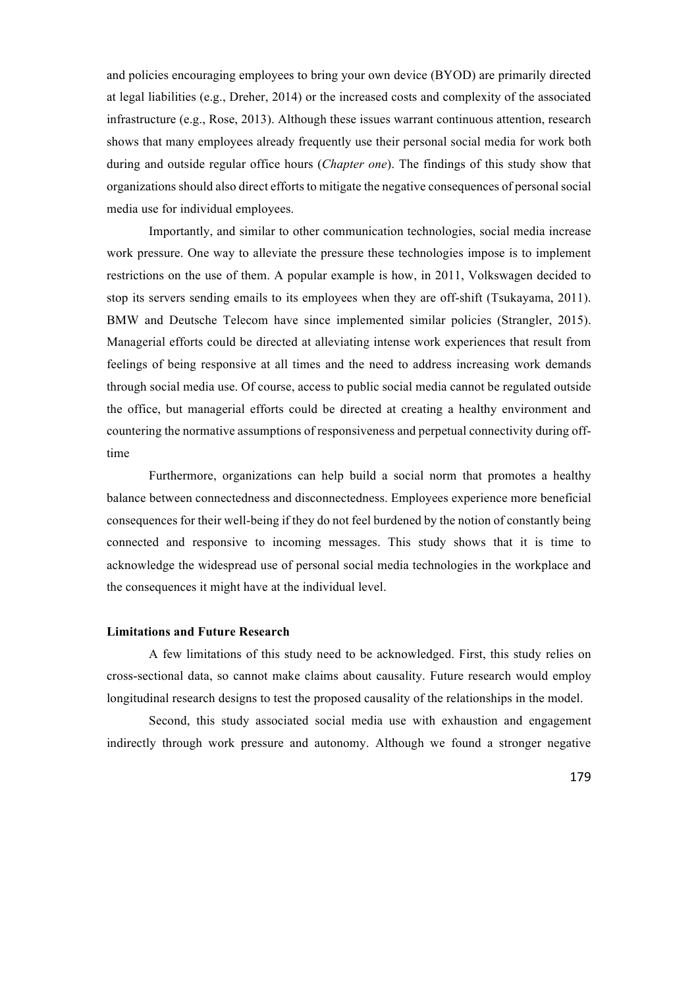and policies encouraging employees to bring your own device (BYOD) are primarily directed at legal liabilities (e.g., Dreher, 2014) or the increased costs and complexity of the associated infrastructure (e.g., Rose, 2013). Although these issues warrant continuous attention, research shows that many employees already frequently use their personal social media for work both during and outside regular office hours (*Chapter one*). The findings of this study show that organizations should also direct efforts to mitigate the negative consequences of personal social media use for individual employees.

Importantly, and similar to other communication technologies, social media increase work pressure. One way to alleviate the pressure these technologies impose is to implement restrictions on the use of them. A popular example is how, in 2011, Volkswagen decided to stop its servers sending emails to its employees when they are off-shift (Tsukayama, 2011). BMW and Deutsche Telecom have since implemented similar policies (Strangler, 2015). Managerial efforts could be directed at alleviating intense work experiences that result from feelings of being responsive at all times and the need to address increasing work demands through social media use. Of course, access to public social media cannot be regulated outside the office, but managerial efforts could be directed at creating a healthy environment and countering the normative assumptions of responsiveness and perpetual connectivity during offtime

Furthermore, organizations can help build a social norm that promotes a healthy balance between connectedness and disconnectedness. Employees experience more beneficial consequences for their well-being if they do not feel burdened by the notion of constantly being connected and responsive to incoming messages. This study shows that it is time to acknowledge the widespread use of personal social media technologies in the workplace and the consequences it might have at the individual level.

#### **Limitations and Future Research**

A few limitations of this study need to be acknowledged. First, this study relies on cross-sectional data, so cannot make claims about causality. Future research would employ longitudinal research designs to test the proposed causality of the relationships in the model.

Second, this study associated social media use with exhaustion and engagement indirectly through work pressure and autonomy. Although we found a stronger negative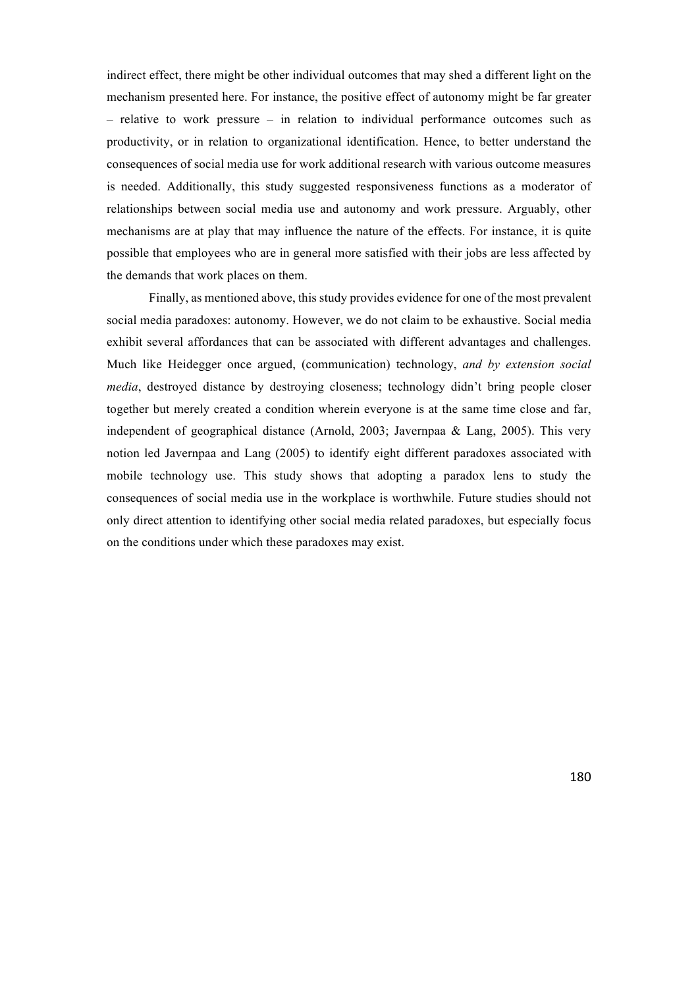indirect effect, there might be other individual outcomes that may shed a different light on the mechanism presented here. For instance, the positive effect of autonomy might be far greater – relative to work pressure – in relation to individual performance outcomes such as productivity, or in relation to organizational identification. Hence, to better understand the consequences of social media use for work additional research with various outcome measures is needed. Additionally, this study suggested responsiveness functions as a moderator of relationships between social media use and autonomy and work pressure. Arguably, other mechanisms are at play that may influence the nature of the effects. For instance, it is quite possible that employees who are in general more satisfied with their jobs are less affected by the demands that work places on them.

Finally, as mentioned above, this study provides evidence for one of the most prevalent social media paradoxes: autonomy. However, we do not claim to be exhaustive. Social media exhibit several affordances that can be associated with different advantages and challenges. Much like Heidegger once argued, (communication) technology, *and by extension social media*, destroyed distance by destroying closeness; technology didn't bring people closer together but merely created a condition wherein everyone is at the same time close and far, independent of geographical distance (Arnold, 2003; Javernpaa & Lang, 2005). This very notion led Javernpaa and Lang (2005) to identify eight different paradoxes associated with mobile technology use. This study shows that adopting a paradox lens to study the consequences of social media use in the workplace is worthwhile. Future studies should not only direct attention to identifying other social media related paradoxes, but especially focus on the conditions under which these paradoxes may exist.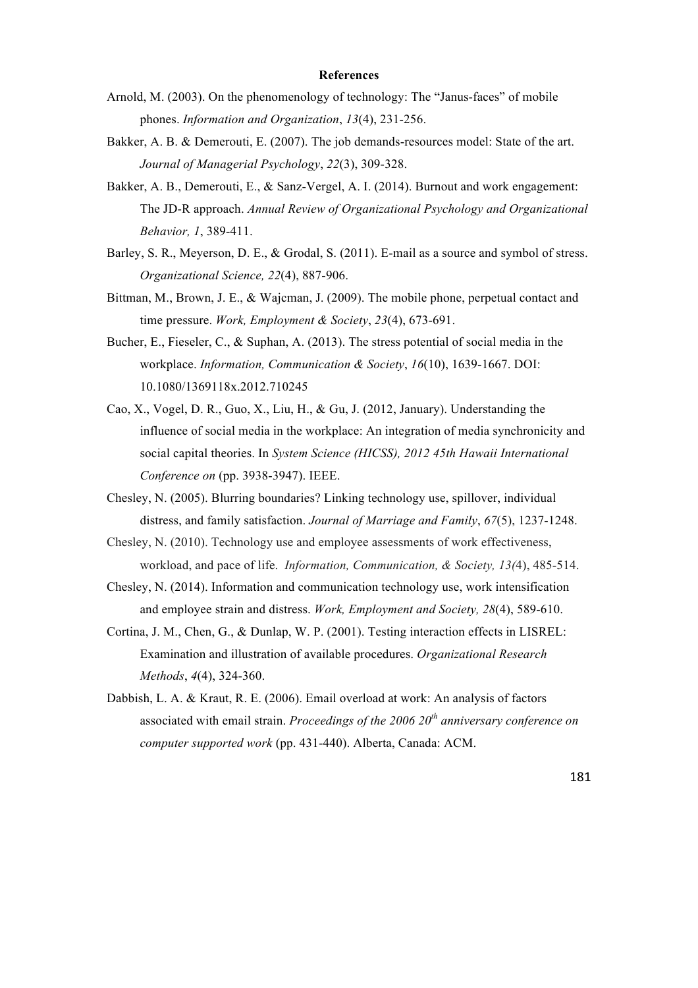#### **References**

- Arnold, M. (2003). On the phenomenology of technology: The "Janus-faces" of mobile phones. *Information and Organization*, *13*(4), 231-256.
- Bakker, A. B. & Demerouti, E. (2007). The job demands-resources model: State of the art. *Journal of Managerial Psychology*, *22*(3), 309-328.
- Bakker, A. B., Demerouti, E., & Sanz-Vergel, A. I. (2014). Burnout and work engagement: The JD-R approach. *Annual Review of Organizational Psychology and Organizational Behavior, 1*, 389-411.
- Barley, S. R., Meyerson, D. E., & Grodal, S. (2011). E-mail as a source and symbol of stress. *Organizational Science, 22*(4), 887-906.
- Bittman, M., Brown, J. E., & Wajcman, J. (2009). The mobile phone, perpetual contact and time pressure. *Work, Employment & Society*, *23*(4), 673-691.
- Bucher, E., Fieseler, C., & Suphan, A. (2013). The stress potential of social media in the workplace. *Information, Communication & Society*, *16*(10), 1639-1667. DOI: 10.1080/1369118x.2012.710245
- Cao, X., Vogel, D. R., Guo, X., Liu, H., & Gu, J. (2012, January). Understanding the influence of social media in the workplace: An integration of media synchronicity and social capital theories. In *System Science (HICSS), 2012 45th Hawaii International Conference on* (pp. 3938-3947). IEEE.
- Chesley, N. (2005). Blurring boundaries? Linking technology use, spillover, individual distress, and family satisfaction. *Journal of Marriage and Family*, *67*(5), 1237-1248.
- Chesley, N. (2010). Technology use and employee assessments of work effectiveness, workload, and pace of life. *Information, Communication, & Society, 13(*4), 485-514.
- Chesley, N. (2014). Information and communication technology use, work intensification and employee strain and distress. *Work, Employment and Society, 28*(4), 589-610.
- Cortina, J. M., Chen, G., & Dunlap, W. P. (2001). Testing interaction effects in LISREL: Examination and illustration of available procedures. *Organizational Research Methods*, *4*(4), 324-360.
- Dabbish, L. A. & Kraut, R. E. (2006). Email overload at work: An analysis of factors associated with email strain. *Proceedings of the 2006 20th anniversary conference on computer supported work* (pp. 431-440). Alberta, Canada: ACM.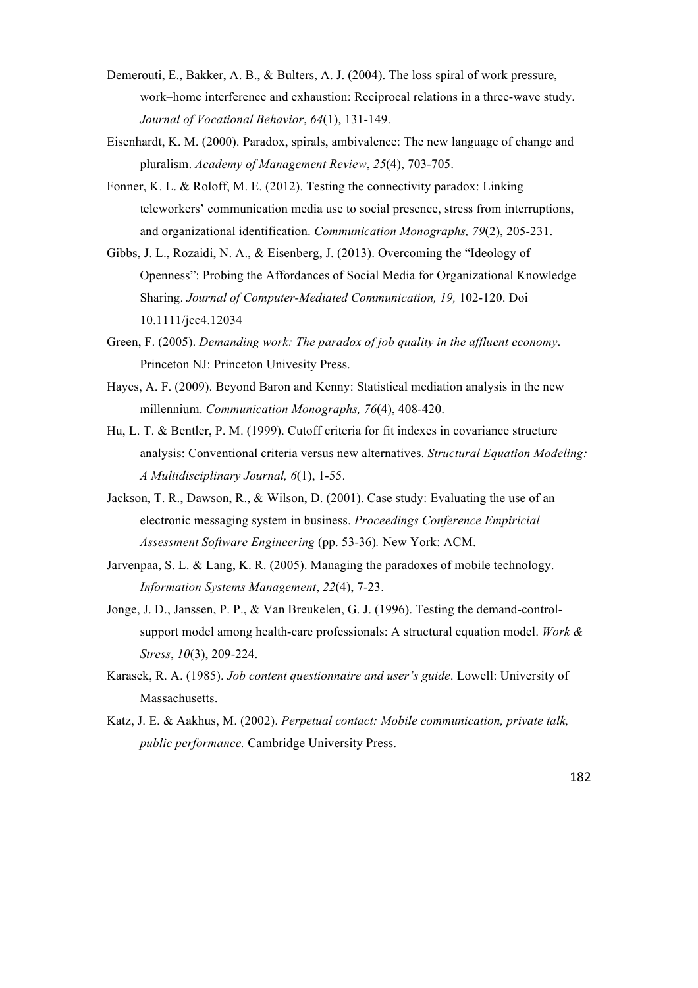- Demerouti, E., Bakker, A. B., & Bulters, A. J. (2004). The loss spiral of work pressure, work–home interference and exhaustion: Reciprocal relations in a three-wave study. *Journal of Vocational Behavior*, *64*(1), 131-149.
- Eisenhardt, K. M. (2000). Paradox, spirals, ambivalence: The new language of change and pluralism. *Academy of Management Review*, *25*(4), 703-705.
- Fonner, K. L. & Roloff, M. E. (2012). Testing the connectivity paradox: Linking teleworkers' communication media use to social presence, stress from interruptions, and organizational identification. *Communication Monographs, 79*(2), 205-231.
- Gibbs, J. L., Rozaidi, N. A., & Eisenberg, J. (2013). Overcoming the "Ideology of Openness": Probing the Affordances of Social Media for Organizational Knowledge Sharing. *Journal of Computer-Mediated Communication, 19,* 102-120. Doi 10.1111/jcc4.12034
- Green, F. (2005). *Demanding work: The paradox of job quality in the affluent economy*. Princeton NJ: Princeton Univesity Press.
- Hayes, A. F. (2009). Beyond Baron and Kenny: Statistical mediation analysis in the new millennium. *Communication Monographs, 76*(4), 408-420.
- Hu, L. T. & Bentler, P. M. (1999). Cutoff criteria for fit indexes in covariance structure analysis: Conventional criteria versus new alternatives. *Structural Equation Modeling: A Multidisciplinary Journal, 6*(1), 1-55.
- Jackson, T. R., Dawson, R., & Wilson, D. (2001). Case study: Evaluating the use of an electronic messaging system in business. *Proceedings Conference Empiricial Assessment Software Engineering* (pp. 53-36)*.* New York: ACM.
- Jarvenpaa, S. L. & Lang, K. R. (2005). Managing the paradoxes of mobile technology. *Information Systems Management*, *22*(4), 7-23.
- Jonge, J. D., Janssen, P. P., & Van Breukelen, G. J. (1996). Testing the demand-controlsupport model among health-care professionals: A structural equation model. *Work & Stress*, *10*(3), 209-224.
- Karasek, R. A. (1985). *Job content questionnaire and user's guide*. Lowell: University of Massachusetts.
- Katz, J. E. & Aakhus, M. (2002). *Perpetual contact: Mobile communication, private talk, public performance.* Cambridge University Press.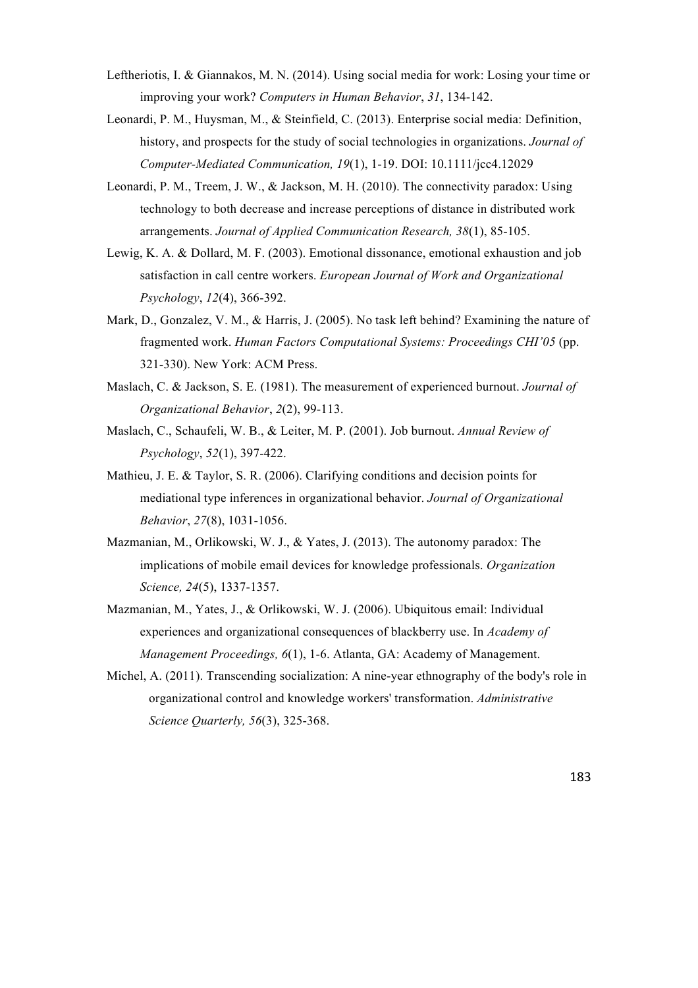- Leftheriotis, I. & Giannakos, M. N. (2014). Using social media for work: Losing your time or improving your work? *Computers in Human Behavior*, *31*, 134-142.
- Leonardi, P. M., Huysman, M., & Steinfield, C. (2013). Enterprise social media: Definition, history, and prospects for the study of social technologies in organizations. *Journal of Computer-Mediated Communication, 19*(1), 1-19. DOI: 10.1111/jcc4.12029
- Leonardi, P. M., Treem, J. W., & Jackson, M. H. (2010). The connectivity paradox: Using technology to both decrease and increase perceptions of distance in distributed work arrangements. *Journal of Applied Communication Research, 38*(1), 85-105.
- Lewig, K. A. & Dollard, M. F. (2003). Emotional dissonance, emotional exhaustion and job satisfaction in call centre workers. *European Journal of Work and Organizational Psychology*, *12*(4), 366-392.
- Mark, D., Gonzalez, V. M., & Harris, J. (2005). No task left behind? Examining the nature of fragmented work. *Human Factors Computational Systems: Proceedings CHI'05* (pp. 321-330). New York: ACM Press.
- Maslach, C. & Jackson, S. E. (1981). The measurement of experienced burnout. *Journal of Organizational Behavior*, *2*(2), 99-113.
- Maslach, C., Schaufeli, W. B., & Leiter, M. P. (2001). Job burnout. *Annual Review of Psychology*, *52*(1), 397-422.
- Mathieu, J. E. & Taylor, S. R. (2006). Clarifying conditions and decision points for mediational type inferences in organizational behavior. *Journal of Organizational Behavior*, *27*(8), 1031-1056.
- Mazmanian, M., Orlikowski, W. J., & Yates, J. (2013). The autonomy paradox: The implications of mobile email devices for knowledge professionals. *Organization Science, 24*(5), 1337-1357.
- Mazmanian, M., Yates, J., & Orlikowski, W. J. (2006). Ubiquitous email: Individual experiences and organizational consequences of blackberry use. In *Academy of Management Proceedings, 6*(1), 1-6. Atlanta, GA: Academy of Management.
- Michel, A. (2011). Transcending socialization: A nine-year ethnography of the body's role in organizational control and knowledge workers' transformation. *Administrative Science Quarterly, 56*(3), 325-368.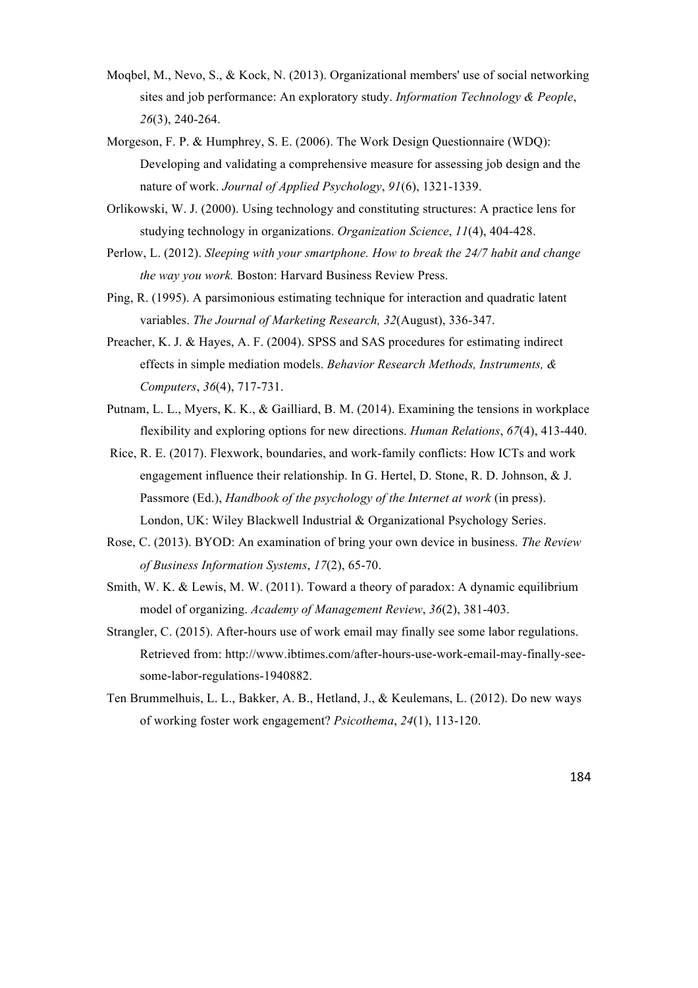- Moqbel, M., Nevo, S., & Kock, N. (2013). Organizational members' use of social networking sites and job performance: An exploratory study. *Information Technology & People*, *26*(3), 240-264.
- Morgeson, F. P. & Humphrey, S. E. (2006). The Work Design Questionnaire (WDQ): Developing and validating a comprehensive measure for assessing job design and the nature of work. *Journal of Applied Psychology*, *91*(6), 1321-1339.
- Orlikowski, W. J. (2000). Using technology and constituting structures: A practice lens for studying technology in organizations. *Organization Science*, *11*(4), 404-428.
- Perlow, L. (2012). *Sleeping with your smartphone. How to break the 24/7 habit and change the way you work.* Boston: Harvard Business Review Press.
- Ping, R. (1995). A parsimonious estimating technique for interaction and quadratic latent variables. *The Journal of Marketing Research, 32*(August), 336-347.
- Preacher, K. J. & Hayes, A. F. (2004). SPSS and SAS procedures for estimating indirect effects in simple mediation models. *Behavior Research Methods, Instruments, & Computers*, *36*(4), 717-731.
- Putnam, L. L., Myers, K. K., & Gailliard, B. M. (2014). Examining the tensions in workplace flexibility and exploring options for new directions. *Human Relations*, *67*(4), 413-440.
- Rice, R. E. (2017). Flexwork, boundaries, and work-family conflicts: How ICTs and work engagement influence their relationship. In G. Hertel, D. Stone, R. D. Johnson, & J. Passmore (Ed.), *Handbook of the psychology of the Internet at work* (in press). London, UK: Wiley Blackwell Industrial & Organizational Psychology Series.
- Rose, C. (2013). BYOD: An examination of bring your own device in business. *The Review of Business Information Systems*, *17*(2), 65-70.
- Smith, W. K. & Lewis, M. W. (2011). Toward a theory of paradox: A dynamic equilibrium model of organizing. *Academy of Management Review*, *36*(2), 381-403.
- Strangler, C. (2015). After-hours use of work email may finally see some labor regulations. Retrieved from: http://www.ibtimes.com/after-hours-use-work-email-may-finally-seesome-labor-regulations-1940882.
- Ten Brummelhuis, L. L., Bakker, A. B., Hetland, J., & Keulemans, L. (2012). Do new ways of working foster work engagement? *Psicothema*, *24*(1), 113-120.